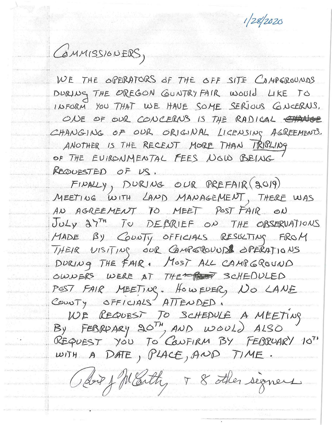$1/28/2020$ 



WE THE OPERATORS OF THE OFF SITE CAMPEROUNDS DURING THE OREGON GUNTRY FAIR WOULD LIKE TO INFORM YOU THAT WE HAVE SOME SERIOUS GNCERNS. ONE OF OUR CONCERNS IS THE RADICAL CHANGE CHANGING OF OUR ORIGINAL LICENSING AGREEMENTS. ANOTHER IS THE RECENT MORE THAN IRIPLING OF THE EVIRONMENTAL FEES NOW BEING REQUESTED OF US.

 $FIPALY$ , DURING OUR PREFAIR (2019) MEETING WITH LAND MANAGEMENT, THERE WAS AN AGREEMENT TO MEET POST FAIR ON JULY 27TH TO DEBRIEF ON THE OBSERVATIONS MADE BY COUNTY OFFICIALS RESULTING FROM THEIR VISITING OUR CAMPEROUNDE OPERATIONS DURING THE FAIR, MOST ALL CAMPGROUND OWNERS WERE AT THE REST SCHEDULED POST FAIR MEETING. HOWEVER, NO LANE COUNTY OFFICIALS ATTENDED.

WE REQUEST TO SCHEDULE A MEETING REQUEST YOU TO CONFIRM BY FEBRUARY 10TH WITH A DATE, PLACE, AND TIME.

Boy fMarthy 8 other signers